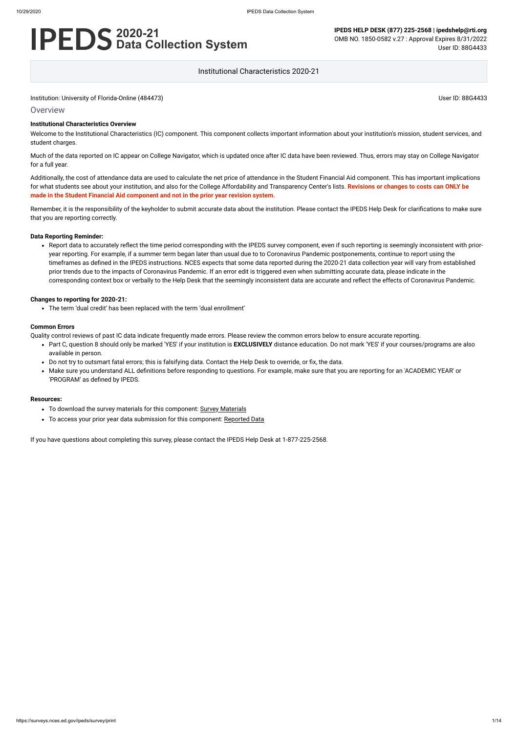## **Overview**

# **2020-21 Data Collection System**

**IPEDS HELP DESK (877) 225-2568 | ipedshelp@rti.org** OMB NO. 1850-0582 v.27 : Approval Expires 8/31/2022 User ID: 88G4433

Institutional Characteristics 2020-21

#### **Institutional Characteristics Overview**

Welcome to the Institutional Characteristics (IC) component. This component collects important information about your institution's mission, student services, and student charges.

Much of the data reported on IC appear on College Navigator, which is updated once after IC data have been reviewed. Thus, errors may stay on College Navigator for a full year.

Additionally, the cost of attendance data are used to calculate the net price of attendance in the Student Financial Aid component. This has important implications for what students see about your institution, and also for the College Affordability and Transparency Center's lists. **Revisions or changes to costs can ONLY be made in the Student Financial Aid component and not in the prior year revision system.**

Remember, it is the responsibility of the keyholder to submit accurate data about the institution. Please contact the IPEDS Help Desk for clarifications to make sure that you are reporting correctly.

#### **Data Reporting Reminder:**

Report data to accurately reflect the time period corresponding with the IPEDS survey component, even if such reporting is seemingly inconsistent with prioryear reporting. For example, if a summer term began later than usual due to to Coronavirus Pandemic postponements, continue to report using the timeframes as defined in the IPEDS instructions. NCES expects that some data reported during the 2020-21 data collection year will vary from established prior trends due to the impacts of Coronavirus Pandemic. If an error edit is triggered even when submitting accurate data, please indicate in the corresponding context box or verbally to the Help Desk that the seemingly inconsistent data are accurate and reflect the effects of Coronavirus Pandemic.

#### **Changes to reporting for 2020-21:**

The term 'dual credit' has been replaced with the term 'dual enrollment'

#### **Common Errors**

Quality control reviews of past IC data indicate frequently made errors. Please review the common errors below to ensure accurate reporting.

- Part C, question 8 should only be marked 'YES' if your institution is **EXCLUSIVELY** distance education. Do not mark 'YES' if your courses/programs are also available in person.
- Do not try to outsmart fatal errors; this is falsifying data. Contact the Help Desk to override, or fix, the data.
- Make sure you understand ALL definitions before responding to questions. For example, make sure that you are reporting for an 'ACADEMIC YEAR' or 'PROGRAM' as defined by IPEDS.

#### **Resources:**

- To download the survey materials for this component: Survey [Materials](https://surveys.nces.ed.gov/ipeds/public/survey-materials/index)
- To access your prior year data submission for this component: [Reported Data](https://surveys.nces.ed.gov/IPEDS_py/DataForms.aspx?f0e9e4efc4dfb8afb3afafb2aea1eef0edf1e0f4c4dfb8acaca1f0eee0edc4dfb8b3b3c2afafaeaea1f0e9e4efc9dce8e0b8d0e9e4f1e0edeee4eff49beae19bc1e7eaede4dfdca8cae9e7e4e9e0a1ebedeadee0eeeeb8e0f3efe0ede9dce7a1eddfefb8acabaaadb4aaadabadab9bacabb5b0b0b5afb39bbcc8)

If you have questions about completing this survey, please contact the IPEDS Help Desk at 1-877-225-2568.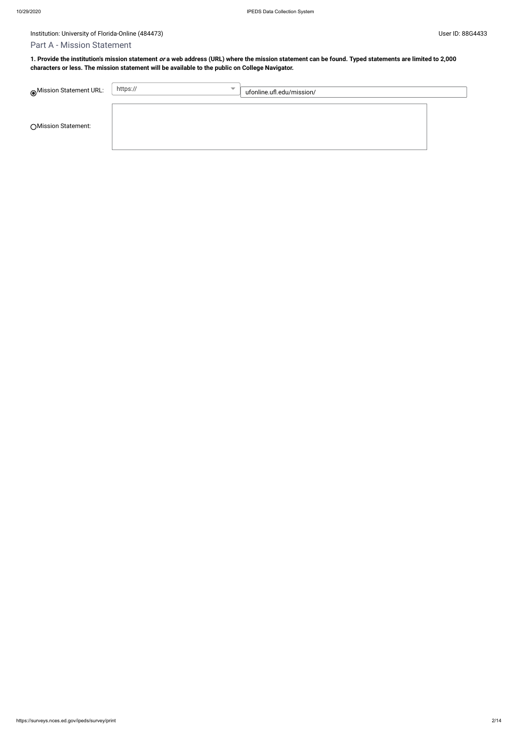# Part A - Mission Statement

**1. Provide the institution's mission statement or a web address (URL) where the mission statement can be found. Typed statements are limited to 2,000 characters or less. The mission statement will be available to the public on College Navigator.**

| Mission Statement URL: | https://<br>$\overline{\phantom{a}}$ | ufonline.ufl.edu/mission/ |  |
|------------------------|--------------------------------------|---------------------------|--|
| ○ Mission Statement:   |                                      |                           |  |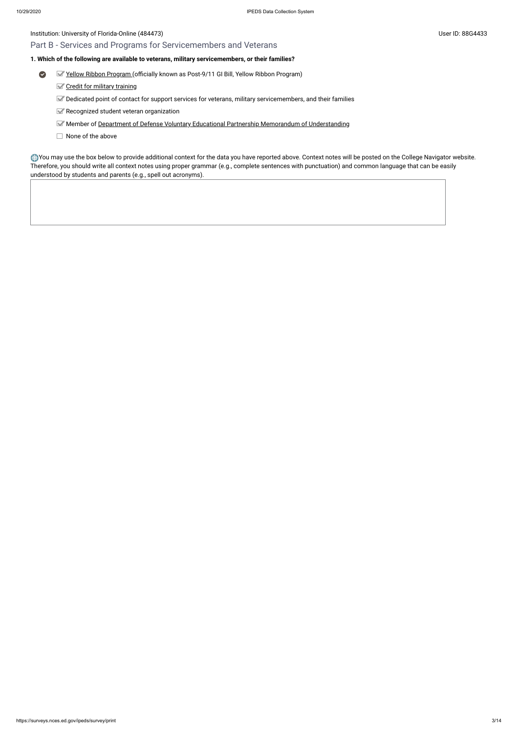# Part B - Services and Programs for Servicemembers and Veterans

# **1. Which of the following are available to veterans, military servicemembers, or their families?**

- $\bullet$ Yellow [Ribbon Program](javascript:openglossary(1044)) (officially known as Post-9/11 GI Bill, Yellow Ribbon Program)
	- Credit for military [training](javascript:openglossary(1047))
	- Dedicated point of contact for support services for veterans, military servicemembers, and their families
	- Recognized student veteran organization
	- Member of Department of [Defense Voluntary](javascript:openglossary(1069)) Educational Partnership Memorandum of Understanding
	- $\Box$  None of the above

You may use the box below to provide additional context for the data you have reported above. Context notes will be posted on the College Navigator website. Therefore, you should write all context notes using proper grammar (e.g., complete sentences with punctuation) and common language that can be easily understood by students and parents (e.g., spell out acronyms).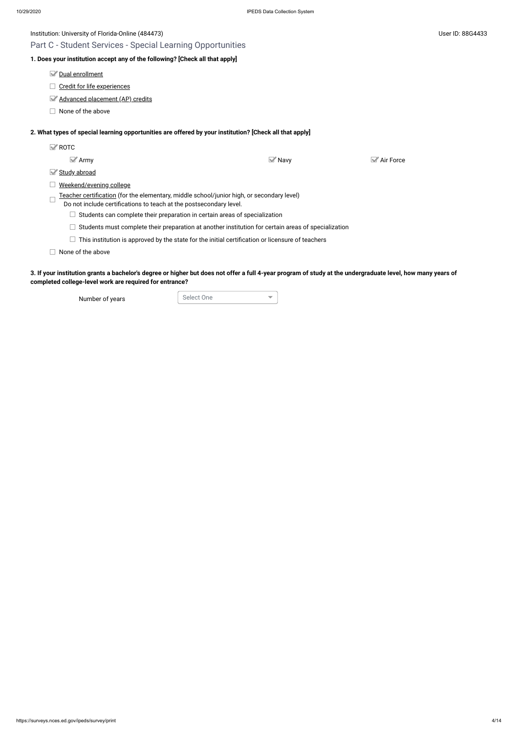Part C - Student Services - Special Learning Opportunities

# **1. Does your institution accept any of the following? [Check all that apply]**

Dual [enrollment](javascript:openglossary(709))

Credit for [life experiences](javascript:openglossary(710))

[Advanced placement](javascript:openglossary(711)) (AP) credits

 $\Box$  None of the above

# **2. What types of special learning opportunities are offered by your institution? [Check all that apply]**

| $\mathbb{Z}$ ROTC |                                                                                                                                                                 |                     |                                 |
|-------------------|-----------------------------------------------------------------------------------------------------------------------------------------------------------------|---------------------|---------------------------------|
|                   | $\blacktriangleright$ Army                                                                                                                                      | $\blacksquare$ Navy | $\blacktriangleright$ Air Force |
| M                 | Study abroad                                                                                                                                                    |                     |                                 |
|                   | Weekend/evening college                                                                                                                                         |                     |                                 |
|                   | Teacher certification (for the elementary, middle school/junior high, or secondary level)<br>Do not include certifications to teach at the postsecondary level. |                     |                                 |
|                   | Students can complete their preparation in certain areas of specialization                                                                                      |                     |                                 |
|                   | Students must complete their preparation at another institution for certain areas of specialization                                                             |                     |                                 |
|                   | This institution is approved by the state for the initial certification or licensure of teachers                                                                |                     |                                 |
|                   | None of the above                                                                                                                                               |                     |                                 |
|                   |                                                                                                                                                                 |                     |                                 |

**3. If your institution grants a bachelor's degree or higher but does not offer a full 4-year program of study at the undergraduate level, how many years of completed college-level work are required for entrance?**

Number of years Select One

 $\overline{\mathbf{v}}$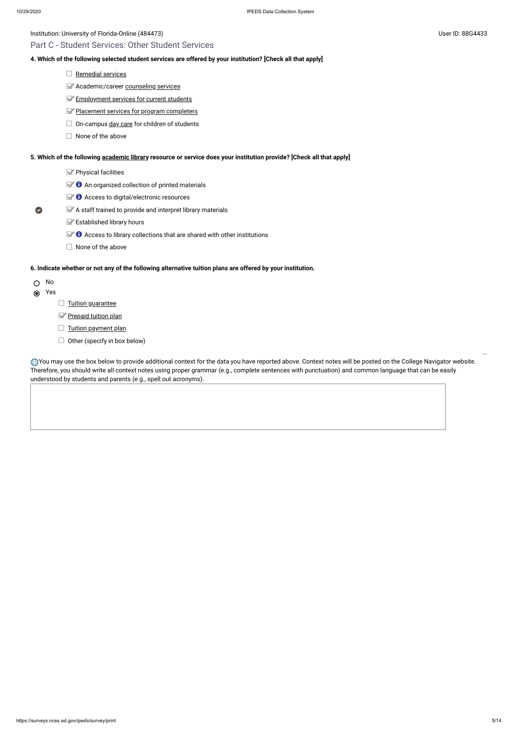# Part C - Student Services: Other Student Services

### **4. Which of the following selected student services are offered by your institution? [Check all that apply]**

- $\Box$  [Remedial](javascript:openglossary(547)) services
- **Academic/career [counseling](javascript:openglossary(149)) services**
- **[Employment](javascript:openglossary(195)) services for current students**
- Placement services for [program completers](javascript:openglossary(479))
- $\Box$  On-campus day [care](javascript:openglossary(165)) for children of students
- $\Box$  None of the above

- Yes
	- $\Box$  [Tuition guarantee](javascript:openglossary(949))
	- [Prepaid tuition plan](javascript:openglossary(950))
	- $\Box$  [Tuition payment](javascript:openglossary(951)) plan
	- $\Box$  Other (specify in box below)

**5. Which of the following [academic library](javascript:openglossary(1015)) resource or service does your institution provide? [Check all that apply]**

- $\blacktriangleright$  Physical facilities
- $\blacktriangleright$  **O** An organized collection of printed materials
- $\mathbb{Z}$   $\bullet$  Access to digital/electronic resources
- A staff trained to provide and interpret library materials
	- **Established library hours**
	- $\blacktriangleright$   $\blacklozenge$  Access to library collections that are shared with other institutions
	- $\Box$  None of the above

You may use the box below to provide additional context for the data you have reported above. Context notes will be posted on the College Navigator website. Therefore, you should write all context notes using proper grammar (e.g., complete sentences with punctuation) and common language that can be easily understood by students and parents (e.g., spell out acronyms).

### **6. Indicate whether or not any of the following alternative tuition plans are offered by your institution.**

## O No

 $\bullet$ 

...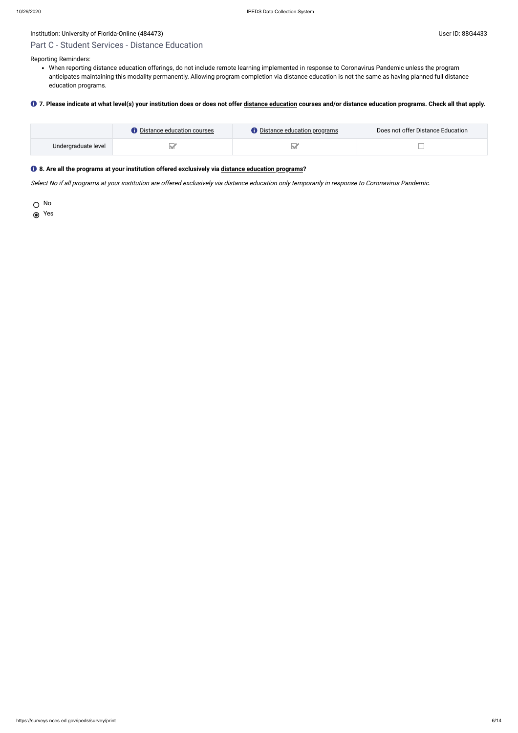# Part C - Student Services - Distance Education

Reporting Reminders:

When reporting distance education offerings, do not include remote learning implemented in response to Coronavirus Pandemic unless the program anticipates maintaining this modality permanently. Allowing program completion via distance education is not the same as having planned full distance education programs.

#### **7. Please indicate at what level(s) your institution does or does not offer [distance education](javascript:openglossary(713)) courses and/or distance education programs. Check all that apply.**

|                     | $\blacktriangleright$ Distance education courses . | <b>O</b> Distance education programs | Does not offer Distance Education |
|---------------------|----------------------------------------------------|--------------------------------------|-----------------------------------|
| Undergraduate level |                                                    |                                      |                                   |

## **8. Are all the programs at your institution offered exclusively via [distance education programs](javascript:openglossary(977))?**

Select No if all programs at your institution are offered exclusively via distance education only temporarily in response to Coronavirus Pandemic.

O No

Yes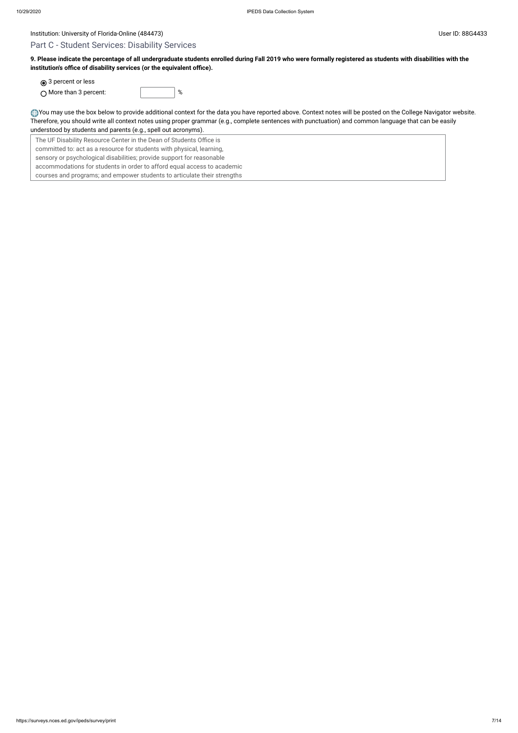# Part C - Student Services: Disability Services

**9. Please indicate the percentage of all undergraduate students enrolled during Fall 2019 who were formally registered as students with disabilities with the institution's office of disability services (or the equivalent office).**

**◎** 3 percent or less

| $\bigcirc$ More than 3 percent: |  |
|---------------------------------|--|
|                                 |  |

You may use the box below to provide additional context for the data you have reported above. Context notes will be posted on the College Navigator website. Therefore, you should write all context notes using proper grammar (e.g., complete sentences with punctuation) and common language that can be easily understood by students and parents (e.g., spell out acronyms).

The UF Disability Resource Center in the Dean of Students Office is committed to: act as a resource for students with physical, learning, sensory or psychological disabilities; provide support for reasonable accommodations for students in order to afford equal access to academic courses and programs; and empower students to articulate their strengths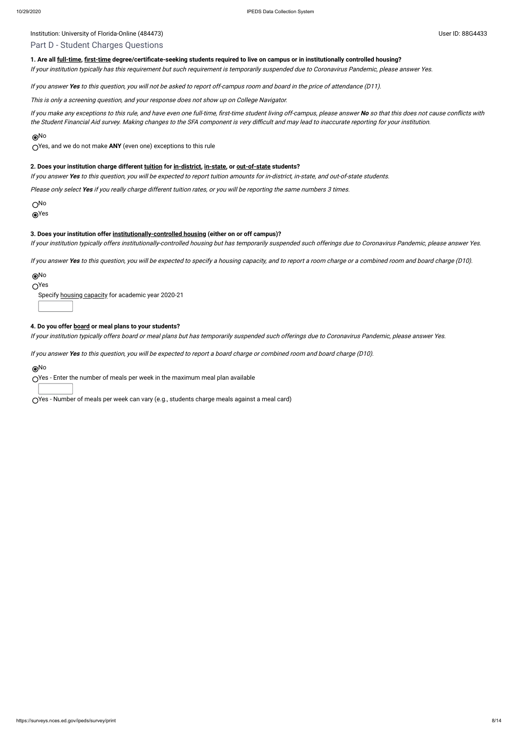# Institution: University of Florida-Online (484473) Channel Assembly Diserved and Manual Assembly Diserved and Manual Assembly Diserved and Manual Assembly Diserved and Manual Assembly Diserved and Manual Assembly Diserved

# Part D - Student Charges Questions

## **1. Are all [full-time](javascript:openglossary(259)), [first-time](javascript:openglossary(241)) degree/certificate-seeking students required to live on campus or in institutionally controlled housing?**

If your institution typically has this requirement but such requirement is temporarily suspended due to Coronavirus Pandemic, please answer Yes.

If you answer **Yes** to this question, you will not be asked to report off-campus room and board in the price of attendance (D11).

This is only <sup>a</sup> screening question, and your response does not show up on College Navigator.

If you make any exceptions to this rule, and have even one full-time, first-time student living off-campus, please answer **No** so that this does not cause conflicts with the Student Financial Aid survey. Making changes to the SFA component is very difficult and may lead to inaccurate reporting for your institution.

# No

Yes, and we do not make **ANY** (even one) exceptions to this rule

#### **2. Does your institution charge different [tuition](javascript:openglossary(848)) for [in-district](javascript:openglossary(303)), [in-state,](javascript:openglossary(309)) or [out-of-state](javascript:openglossary(463)) students?**

If you answer **Yes** to this question, you will be expected to report tuition amounts for in-district, in-state, and out-of-state students.

Please only select **Yes** if you really charge different tuition rates, or you will be reporting the same numbers 3 times.

O<sub>No</sub>

Yes

#### **3. Does your institution offer [institutionally-controlled housing](javascript:openglossary(970)) (either on or off campus)?**

If your institution typically offers institutionally-controlled housing but has temporarily suspended such offerings due to Coronavirus Pandemic, please answer Yes.

If you answer **Yes** to this question, you will be expected to specify <sup>a</sup> housing capacity, and to report <sup>a</sup> room charge or <sup>a</sup> combined room and board charge (D10).

#### No

 $O<sup>Yes</sup>$ 

Specify housing [capacity](javascript:openglossary(185)) for academic year 2020-21

#### **4. Do you offer [board](javascript:openglossary(87)) or meal plans to your students?**

If your institution typically offers board or meal plans but has temporarily suspended such offerings due to Coronavirus Pandemic, please answer Yes.

If you answer **Yes** to this question, you will be expected to report <sup>a</sup> board charge or combined room and board charge (D10).

#### No

Yes - Enter the number of meals per week in the maximum meal plan available

Yes - Number of meals per week can vary (e.g., students charge meals against a meal card)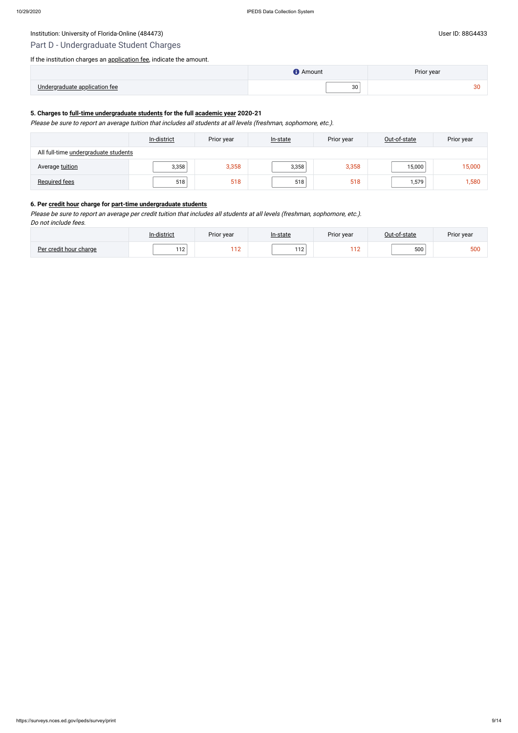# Institution: University of Florida-Online (484473) Channel Control of The User ID: 88G4433 User ID: 88G4433

# Part D - Undergraduate Student Charges

If the institution charges an [application fee](javascript:openglossary(47)), indicate the amount.

|                               | <b>Amount</b> | Prior year |
|-------------------------------|---------------|------------|
| Undergraduate application fee | 30            | $\sim$     |

# **5. Charges to [full-time undergraduate students](javascript:openglossary(259)) for the full [academic year](javascript:openglossary(19)) 2020-21**

Please be sure to report an average tuition that includes all students at all levels (freshman, sophomore, etc.).

|                                      | In-district | Prior year | In-state | Prior year | Out-of-state | Prior year |
|--------------------------------------|-------------|------------|----------|------------|--------------|------------|
| All full-time undergraduate students |             |            |          |            |              |            |
| Average tuition                      | 3,358       | 3,358      | 3,358    | 3,358      | 15,000       | 15,000     |
| <b>Required fees</b>                 | 518         | 518        | 518      | 518        | 1,579        | 1,580      |

# **6. Per [credit hour](javascript:openglossary(155)) charge for [part-time undergraduate students](javascript:openglossary(469))**

Please be sure to report an average per credit tuition that includes all students at all levels (freshman, sophomore, etc.). Do not include fees.

|                        | In-district | Prior year | ln-state | Prior year  | Out-of-state | Prior year |
|------------------------|-------------|------------|----------|-------------|--------------|------------|
| Per credit hour charge | 112         | 110        | 112      | 110<br>- 12 | 500          | 500        |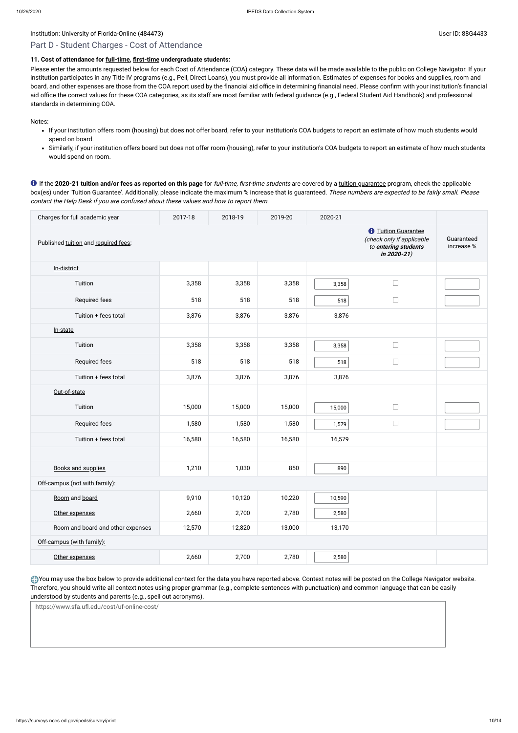# Part D - Student Charges - Cost of Attendance

# **11. Cost of attendance for [full-time,](javascript:openglossary(259)) [first-time](javascript:openglossary(241)) undergraduate students:**

Please enter the amounts requested below for each Cost of Attendance (COA) category. These data will be made available to the public on College Navigator. If your institution participates in any Title IV programs (e.g., Pell, Direct Loans), you must provide all information. Estimates of expenses for books and supplies, room and board, and other expenses are those from the COA report used by the financial aid office in determining financial need. Please confirm with your institution's financial aid office the correct values for these COA categories, as its staff are most familiar with federal guidance (e.g., Federal Student Aid Handbook) and professional standards in determining COA.

Notes:

- If your institution offers room (housing) but does not offer board, refer to your institution's COA budgets to report an estimate of how much students would spend on board.
- Similarly, if your institution offers board but does not offer room (housing), refer to your institution's COA budgets to report an estimate of how much students would spend on room.

You may use the box below to provide additional context for the data you have reported above. Context notes will be posted on the College Navigator website. Therefore, you should write all context notes using proper grammar (e.g., complete sentences with punctuation) and common language that can be easily understood by students and parents (e.g., spell out acronyms).

If the **2020-21 tuition and/or fees as reported on this page** for full-time, first-time students are covered by a [tuition guarantee](javascript:openglossary(949)) program, check the applicable box(es) under 'Tuition Guarantee'. Additionally, please indicate the maximum % increase that is guaranteed. These numbers are expected to be fairly small. Please contact the Help Desk if you are confused about these values and how to report them.

| Charges for full academic year       | 2017-18                                                                                                           | 2018-19                  | 2019-20 | 2020-21 |        |  |
|--------------------------------------|-------------------------------------------------------------------------------------------------------------------|--------------------------|---------|---------|--------|--|
| Published tuition and required fees: | <b><i><u>O</u></i></b> Tuition Guarantee<br>(check only if applicable<br>to entering students<br>in $2020 - 21$ ) | Guaranteed<br>increase % |         |         |        |  |
| In-district                          |                                                                                                                   |                          |         |         |        |  |
| Tuition                              | 3,358                                                                                                             | 3,358                    | 3,358   | 3,358   | $\Box$ |  |
| Required fees                        | 518                                                                                                               | 518                      | 518     | 518     | $\Box$ |  |
| Tuition + fees total                 | 3,876                                                                                                             | 3,876                    | 3,876   | 3,876   |        |  |
| In-state                             |                                                                                                                   |                          |         |         |        |  |
| Tuition                              | 3,358                                                                                                             | 3,358                    | 3,358   | 3,358   | $\Box$ |  |
| Required fees                        | 518                                                                                                               | 518                      | 518     | 518     | $\Box$ |  |
| Tuition + fees total                 | 3,876                                                                                                             | 3,876                    | 3,876   | 3,876   |        |  |
| Out-of-state                         |                                                                                                                   |                          |         |         |        |  |
| Tuition                              | 15,000                                                                                                            | 15,000                   | 15,000  | 15,000  | $\Box$ |  |
| Required fees                        | 1,580                                                                                                             | 1,580                    | 1,580   | 1,579   | $\Box$ |  |
| Tuition + fees total                 | 16,580                                                                                                            | 16,580                   | 16,580  | 16,579  |        |  |
|                                      |                                                                                                                   |                          |         |         |        |  |
| <b>Books and supplies</b>            | 1,210                                                                                                             | 1,030                    | 850     | 890     |        |  |
| Off-campus (not with family):        |                                                                                                                   |                          |         |         |        |  |
| Room and board                       | 9,910                                                                                                             | 10,120                   | 10,220  | 10,590  |        |  |
| Other expenses                       | 2,660                                                                                                             | 2,700                    | 2,780   | 2,580   |        |  |
| Room and board and other expenses    | 12,570                                                                                                            | 12,820                   | 13,000  | 13,170  |        |  |
| Off-campus (with family):            |                                                                                                                   |                          |         |         |        |  |

| Other expenses | ,660 | 2,700 | 2,780 |  | ْ 2,580 |  |  |  |
|----------------|------|-------|-------|--|---------|--|--|--|
|----------------|------|-------|-------|--|---------|--|--|--|

https://www.sfa.ufl.edu/cost/uf-online-cost/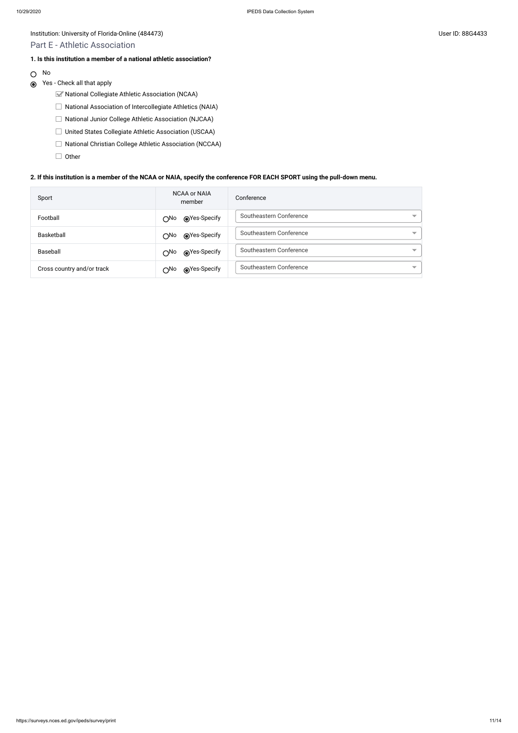# Institution: University of Florida-Online (484473) Channel States and States and States and Diserve ID: 88G4433

- National Collegiate Athletic Association (NCAA)
- $\Box$  National Association of Intercollegiate Athletics (NAIA)
- National Junior College Athletic Association (NJCAA)
- United States Collegiate Athletic Association (USCAA)
- □ National Christian College Athletic Association (NCCAA)
- $\Box$  Other

# Part E - Athletic Association

# **1. Is this institution a member of a national athletic association?**

O No

# Yes - Check all that apply

## **2. If this institution is a member of the NCAA or NAIA, specify the conference FOR EACH SPORT using the pull-down menu.**

| Sport                      | NCAA or NAIA<br>member                                                                                                                                                                                                                         | Conference                                          |
|----------------------------|------------------------------------------------------------------------------------------------------------------------------------------------------------------------------------------------------------------------------------------------|-----------------------------------------------------|
| Football                   | ies-Specify notice Specify notice and notice and notice and notice and notice and a moment of the Society and a<br>$\bigcirc$ No                                                                                                               | Southeastern Conference<br>▼                        |
| Basketball                 | ies-Specify notice Specify notice and notice and notice and notice and notice and a moment of the Society and a<br>$\bigcirc$ No                                                                                                               | Southeastern Conference                             |
| Baseball                   | ies-Specify notice Specify notice and notice and notice and more that the more of the Second State and More of the Second State and More of the Second State and Street and Street and Street and Street and Street and Stree<br>$\bigcirc$ No | Southeastern Conference<br>$\overline{\phantom{a}}$ |
| Cross country and/or track | ies-Specify notice Specify notice and notice and notice and notice and notice and a moment of the Society and a<br>∩No                                                                                                                         | Southeastern Conference<br>$\overline{\phantom{a}}$ |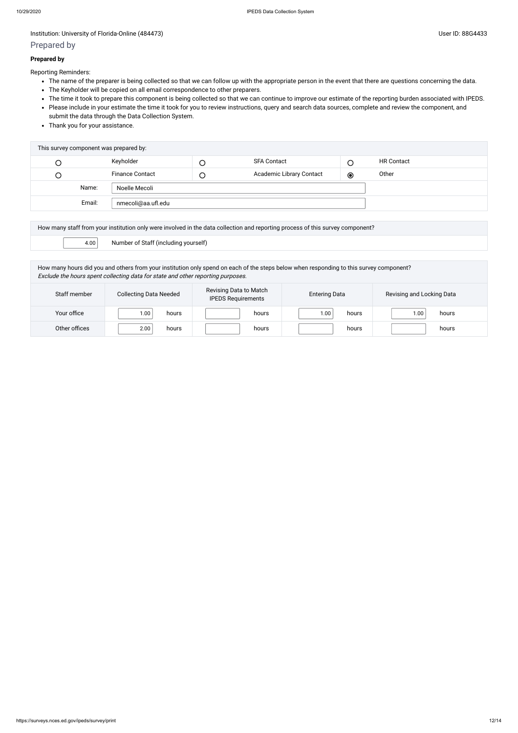## Institution: University of Florida-Online (484473) Channel Assembly of Florida-Online (484473)

# Prepared by

#### **Prepared by**

Reporting Reminders:

- The name of the preparer is being collected so that we can follow up with the appropriate person in the event that there are questions concerning the data.
- The Keyholder will be copied on all email correspondence to other preparers.
- The time it took to prepare this component is being collected so that we can continue to improve our estimate of the reporting burden associated with IPEDS.
- Please include in your estimate the time it took for you to review instructions, query and search data sources, complete and review the component, and submit the data through the Data Collection System.
- Thank you for your assistance.

| This survey component was prepared by: |                        |        |                          |         |                   |
|----------------------------------------|------------------------|--------|--------------------------|---------|-------------------|
| L                                      | Keyholder              |        | <b>SFA Contact</b>       |         | <b>HR Contact</b> |
| $\cup$                                 | <b>Finance Contact</b> | $\cup$ | Academic Library Contact | $\odot$ | Other             |
| Name:                                  | Noelle Mecoli          |        |                          |         |                   |
| Email:                                 | nmecoli@aa.ufl.edu     |        |                          |         |                   |

|      | How many staff from your institution only were involved in the data collection and reporting process of this survey component? |  |  |  |  |
|------|--------------------------------------------------------------------------------------------------------------------------------|--|--|--|--|
| 4.00 | Number of Staff (including yourself)                                                                                           |  |  |  |  |

How many hours did you and others from your institution only spend on each of the steps below when responding to this survey component? Exclude the hours spent collecting data for state and other reporting purposes.

| Staff member  | <b>Collecting Data Needed</b> | Revising Data to Match<br><b>IPEDS Requirements</b> | <b>Entering Data</b> | Revising and Locking Data |  |
|---------------|-------------------------------|-----------------------------------------------------|----------------------|---------------------------|--|
| Your office   | 1.00<br>hours                 | hours                                               | 00.1<br>hours        | 00.1<br>hours             |  |
| Other offices | 2.00<br>hours                 | hours                                               | hours                | hours                     |  |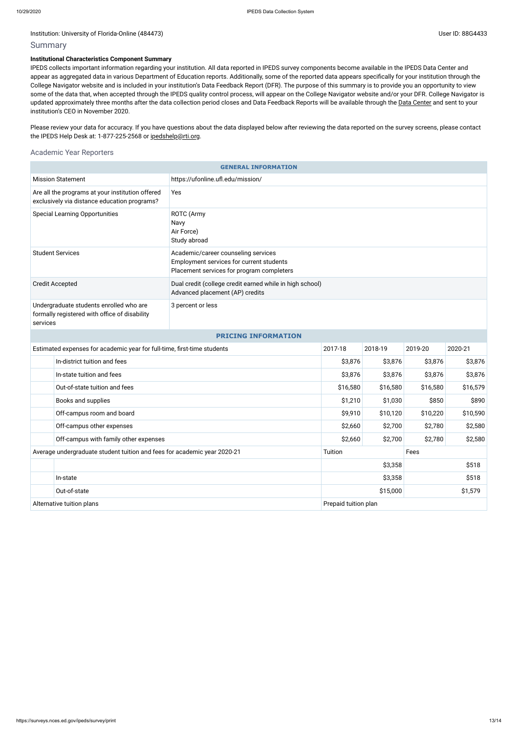#### Institution: University of Florida-Online (484473) Channel Assembly 10 and 20 and 20 and 20 and 20 and 20 and 20 and 20 and 20 and 20 and 20 and 20 and 20 and 20 and 20 and 20 and 20 and 20 and 20 and 20 and 20 and 20 and

# Summary

### **Institutional Characteristics Component Summary**

Please review your data for accuracy. If you have questions about the data displayed below after reviewing the data reported on the survey screens, please contact the IPEDS Help Desk at: 1-877-225-2568 or [ipedshelp@rti.org.](mailto:ipedshelp@rti.org)

IPEDS collects important information regarding your institution. All data reported in IPEDS survey components become available in the IPEDS Data Center and appear as aggregated data in various Department of Education reports. Additionally, some of the reported data appears specifically for your institution through the College Navigator website and is included in your institution's Data Feedback Report (DFR). The purpose of this summary is to provide you an opportunity to view some of the data that, when accepted through the IPEDS quality control process, will appear on the College Navigator website and/or your DFR. College Navigator is updated approximately three months after the data collection period closes and Data Feedback Reports will be available through the Data [Center](https://nces.ed.gov/ipeds/use-the-data) and sent to your institution's CEO in November 2020.

# Academic Year Reporters

| <b>GENERAL INFORMATION</b>                                                                           |                           |                                                                                                                              |                     |          |          |          |  |  |
|------------------------------------------------------------------------------------------------------|---------------------------|------------------------------------------------------------------------------------------------------------------------------|---------------------|----------|----------|----------|--|--|
| <b>Mission Statement</b>                                                                             |                           | https://ufonline.ufl.edu/mission/                                                                                            |                     |          |          |          |  |  |
| Are all the programs at your institution offered<br>exclusively via distance education programs?     |                           | Yes                                                                                                                          |                     |          |          |          |  |  |
| <b>Special Learning Opportunities</b>                                                                |                           | ROTC (Army<br>Navy<br>Air Force)<br>Study abroad                                                                             |                     |          |          |          |  |  |
| <b>Student Services</b>                                                                              |                           | Academic/career counseling services<br>Employment services for current students<br>Placement services for program completers |                     |          |          |          |  |  |
| <b>Credit Accepted</b>                                                                               |                           | Dual credit (college credit earned while in high school)<br>Advanced placement (AP) credits                                  |                     |          |          |          |  |  |
| Undergraduate students enrolled who are<br>formally registered with office of disability<br>services |                           | 3 percent or less                                                                                                            |                     |          |          |          |  |  |
| <b>PRICING INFORMATION</b>                                                                           |                           |                                                                                                                              |                     |          |          |          |  |  |
| Estimated expenses for academic year for full-time, first-time students                              |                           | 2017-18                                                                                                                      | 2018-19             | 2019-20  | 2020-21  |          |  |  |
| In-district tuition and fees                                                                         |                           |                                                                                                                              | \$3,876             | \$3,876  | \$3,876  | \$3,876  |  |  |
| In-state tuition and fees                                                                            |                           |                                                                                                                              | \$3,876             | \$3,876  | \$3,876  | \$3,876  |  |  |
| Out-of-state tuition and fees                                                                        |                           |                                                                                                                              | \$16,580            | \$16,580 | \$16,580 | \$16,579 |  |  |
| Books and supplies                                                                                   |                           |                                                                                                                              | \$1,210             | \$1,030  | \$850    | \$890    |  |  |
|                                                                                                      | Off-campus room and board |                                                                                                                              | \$9,910             | \$10,120 | \$10,220 | \$10,590 |  |  |
|                                                                                                      | Off-campus other expenses |                                                                                                                              | \$2,660             | \$2,700  | \$2,780  | \$2,580  |  |  |
| Off-campus with family other expenses                                                                |                           |                                                                                                                              | \$2,660             | \$2,700  | \$2,780  | \$2,580  |  |  |
| Average undergraduate student tuition and fees for academic year 2020-21                             |                           | Tuition                                                                                                                      |                     | Fees     |          |          |  |  |
|                                                                                                      |                           |                                                                                                                              |                     | \$3,358  |          | \$518    |  |  |
|                                                                                                      | In-state                  |                                                                                                                              |                     | \$3,358  | \$518    |          |  |  |
| Out-of-state                                                                                         |                           |                                                                                                                              | \$15,000<br>\$1,579 |          |          |          |  |  |
| Alternative tuition plans                                                                            |                           | Prepaid tuition plan                                                                                                         |                     |          |          |          |  |  |